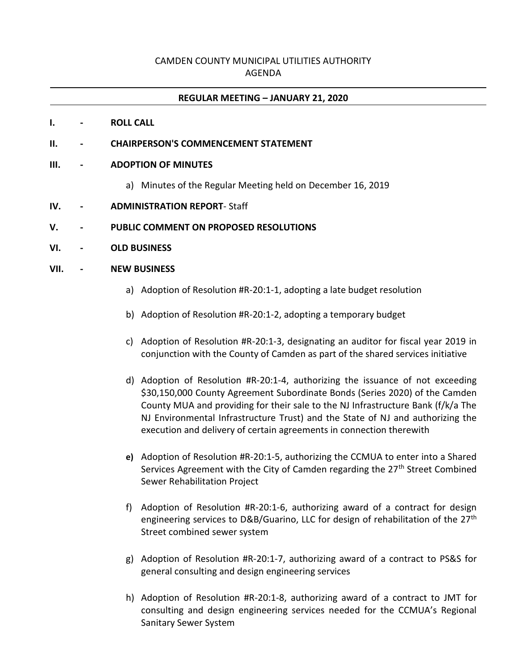# CAMDEN COUNTY MUNICIPAL UTILITIES AUTHORITY AGENDA

## **REGULAR MEETING – JANUARY 21, 2020**

### **I. - ROLL CALL**

**II. - CHAIRPERSON'S COMMENCEMENT STATEMENT**

#### **III. - ADOPTION OF MINUTES**

- a) Minutes of the Regular Meeting held on December 16, 2019
- **IV. - ADMINISTRATION REPORT** Staff
- **V. - PUBLIC COMMENT ON PROPOSED RESOLUTIONS**
- **VI. - OLD BUSINESS**

#### **VII. - NEW BUSINESS**

- a) Adoption of Resolution #R-20:1-1, adopting a late budget resolution
- b) Adoption of Resolution #R-20:1-2, adopting a temporary budget
- c) Adoption of Resolution #R-20:1-3, designating an auditor for fiscal year 2019 in conjunction with the County of Camden as part of the shared services initiative
- d) Adoption of Resolution #R-20:1-4, authorizing the issuance of not exceeding \$30,150,000 County Agreement Subordinate Bonds (Series 2020) of the Camden County MUA and providing for their sale to the NJ Infrastructure Bank (f/k/a The NJ Environmental Infrastructure Trust) and the State of NJ and authorizing the execution and delivery of certain agreements in connection therewith
- **e)** Adoption of Resolution #R-20:1-5, authorizing the CCMUA to enter into a Shared Services Agreement with the City of Camden regarding the 27<sup>th</sup> Street Combined Sewer Rehabilitation Project
- f) Adoption of Resolution #R-20:1-6, authorizing award of a contract for design engineering services to D&B/Guarino, LLC for design of rehabilitation of the 27<sup>th</sup> Street combined sewer system
- g) Adoption of Resolution #R-20:1-7, authorizing award of a contract to PS&S for general consulting and design engineering services
- h) Adoption of Resolution #R-20:1-8, authorizing award of a contract to JMT for consulting and design engineering services needed for the CCMUA's Regional Sanitary Sewer System